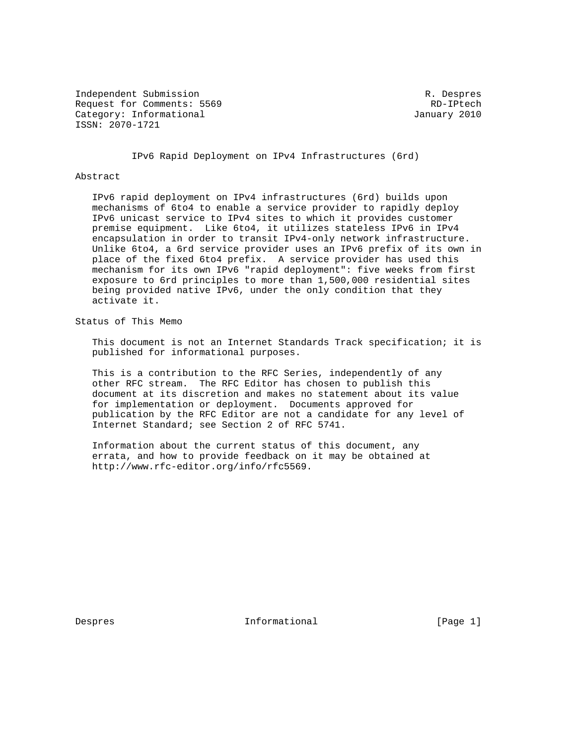Independent Submission **R. Despres** R. Despres Request for Comments: 5569 RD-IPtech Category: Informational and Category: Informational ISSN: 2070-1721

IPv6 Rapid Deployment on IPv4 Infrastructures (6rd)

## Abstract

 IPv6 rapid deployment on IPv4 infrastructures (6rd) builds upon mechanisms of 6to4 to enable a service provider to rapidly deploy IPv6 unicast service to IPv4 sites to which it provides customer premise equipment. Like 6to4, it utilizes stateless IPv6 in IPv4 encapsulation in order to transit IPv4-only network infrastructure. Unlike 6to4, a 6rd service provider uses an IPv6 prefix of its own in place of the fixed 6to4 prefix. A service provider has used this mechanism for its own IPv6 "rapid deployment": five weeks from first exposure to 6rd principles to more than 1,500,000 residential sites being provided native IPv6, under the only condition that they activate it.

Status of This Memo

 This document is not an Internet Standards Track specification; it is published for informational purposes.

 This is a contribution to the RFC Series, independently of any other RFC stream. The RFC Editor has chosen to publish this document at its discretion and makes no statement about its value for implementation or deployment. Documents approved for publication by the RFC Editor are not a candidate for any level of Internet Standard; see Section 2 of RFC 5741.

 Information about the current status of this document, any errata, and how to provide feedback on it may be obtained at http://www.rfc-editor.org/info/rfc5569.

Despres 1. Informational 1. The set of the Despres 1. Informational the set of  $[Page 1]$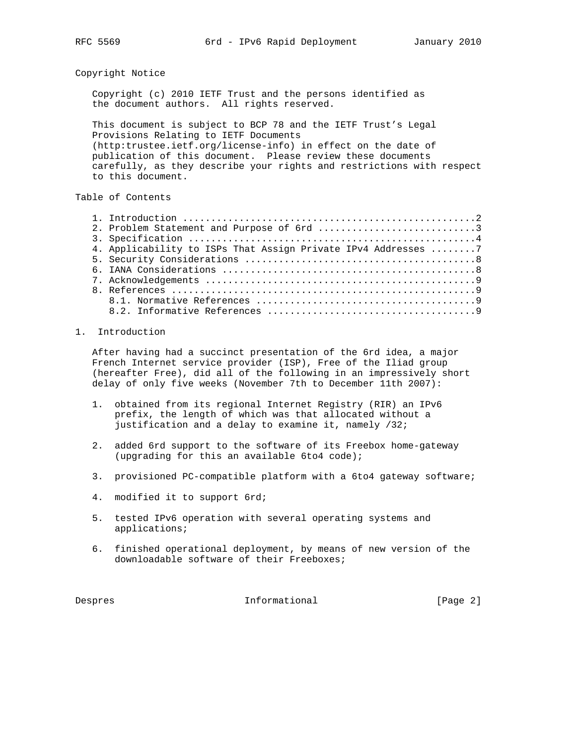Copyright Notice

 Copyright (c) 2010 IETF Trust and the persons identified as the document authors. All rights reserved.

 This document is subject to BCP 78 and the IETF Trust's Legal Provisions Relating to IETF Documents (http:trustee.ietf.org/license-info) in effect on the date of publication of this document. Please review these documents carefully, as they describe your rights and restrictions with respect to this document.

## Table of Contents

| 2. Problem Statement and Purpose of 6rd 3                     |  |
|---------------------------------------------------------------|--|
|                                                               |  |
| 4. Applicability to ISPs That Assign Private IPv4 Addresses 7 |  |
|                                                               |  |
|                                                               |  |
|                                                               |  |
|                                                               |  |
|                                                               |  |
|                                                               |  |

## 1. Introduction

 After having had a succinct presentation of the 6rd idea, a major French Internet service provider (ISP), Free of the Iliad group (hereafter Free), did all of the following in an impressively short delay of only five weeks (November 7th to December 11th 2007):

- 1. obtained from its regional Internet Registry (RIR) an IPv6 prefix, the length of which was that allocated without a justification and a delay to examine it, namely /32;
- 2. added 6rd support to the software of its Freebox home-gateway (upgrading for this an available 6to4 code);
- 3. provisioned PC-compatible platform with a 6to4 gateway software;
- 4. modified it to support 6rd;
- 5. tested IPv6 operation with several operating systems and applications;
- 6. finished operational deployment, by means of new version of the downloadable software of their Freeboxes;

Despres 1nformational 1999 [Page 2]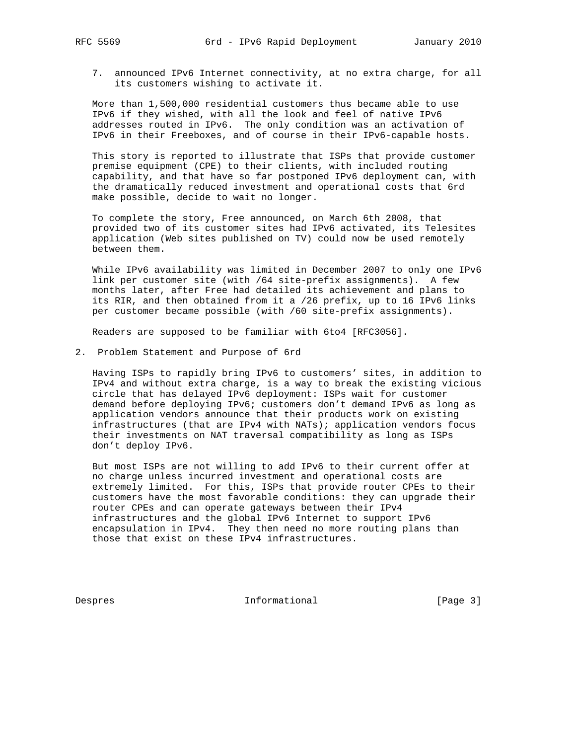7. announced IPv6 Internet connectivity, at no extra charge, for all its customers wishing to activate it.

 More than 1,500,000 residential customers thus became able to use IPv6 if they wished, with all the look and feel of native IPv6 addresses routed in IPv6. The only condition was an activation of IPv6 in their Freeboxes, and of course in their IPv6-capable hosts.

 This story is reported to illustrate that ISPs that provide customer premise equipment (CPE) to their clients, with included routing capability, and that have so far postponed IPv6 deployment can, with the dramatically reduced investment and operational costs that 6rd make possible, decide to wait no longer.

 To complete the story, Free announced, on March 6th 2008, that provided two of its customer sites had IPv6 activated, its Telesites application (Web sites published on TV) could now be used remotely between them.

 While IPv6 availability was limited in December 2007 to only one IPv6 link per customer site (with /64 site-prefix assignments). A few months later, after Free had detailed its achievement and plans to its RIR, and then obtained from it a /26 prefix, up to 16 IPv6 links per customer became possible (with /60 site-prefix assignments).

Readers are supposed to be familiar with 6to4 [RFC3056].

2. Problem Statement and Purpose of 6rd

 Having ISPs to rapidly bring IPv6 to customers' sites, in addition to IPv4 and without extra charge, is a way to break the existing vicious circle that has delayed IPv6 deployment: ISPs wait for customer demand before deploying IPv6; customers don't demand IPv6 as long as application vendors announce that their products work on existing infrastructures (that are IPv4 with NATs); application vendors focus their investments on NAT traversal compatibility as long as ISPs don't deploy IPv6.

 But most ISPs are not willing to add IPv6 to their current offer at no charge unless incurred investment and operational costs are extremely limited. For this, ISPs that provide router CPEs to their customers have the most favorable conditions: they can upgrade their router CPEs and can operate gateways between their IPv4 infrastructures and the global IPv6 Internet to support IPv6 encapsulation in IPv4. They then need no more routing plans than those that exist on these IPv4 infrastructures.

Despres 1nformational [Page 3]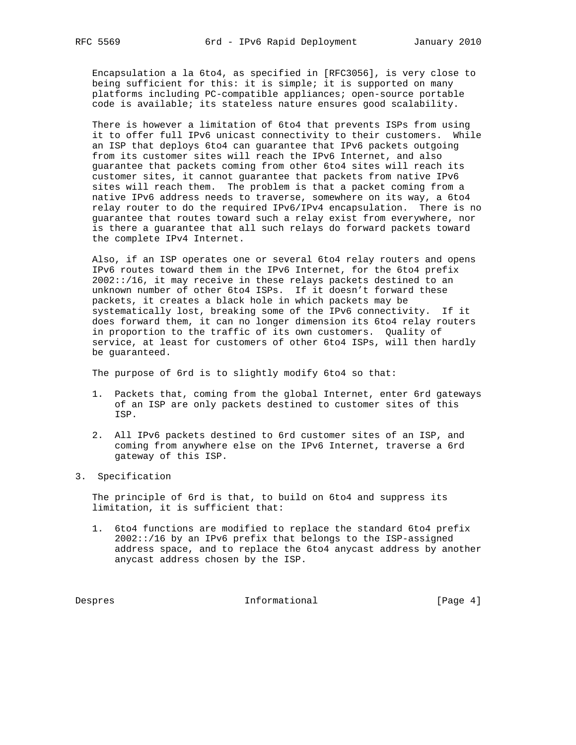Encapsulation a la 6to4, as specified in [RFC3056], is very close to being sufficient for this: it is simple; it is supported on many platforms including PC-compatible appliances; open-source portable code is available; its stateless nature ensures good scalability.

 There is however a limitation of 6to4 that prevents ISPs from using it to offer full IPv6 unicast connectivity to their customers. While an ISP that deploys 6to4 can guarantee that IPv6 packets outgoing from its customer sites will reach the IPv6 Internet, and also guarantee that packets coming from other 6to4 sites will reach its customer sites, it cannot guarantee that packets from native IPv6 sites will reach them. The problem is that a packet coming from a native IPv6 address needs to traverse, somewhere on its way, a 6to4 relay router to do the required IPv6/IPv4 encapsulation. There is no guarantee that routes toward such a relay exist from everywhere, nor is there a guarantee that all such relays do forward packets toward the complete IPv4 Internet.

 Also, if an ISP operates one or several 6to4 relay routers and opens IPv6 routes toward them in the IPv6 Internet, for the 6to4 prefix 2002::/16, it may receive in these relays packets destined to an unknown number of other 6to4 ISPs. If it doesn't forward these packets, it creates a black hole in which packets may be systematically lost, breaking some of the IPv6 connectivity. If it does forward them, it can no longer dimension its 6to4 relay routers in proportion to the traffic of its own customers. Quality of service, at least for customers of other 6to4 ISPs, will then hardly be guaranteed.

The purpose of 6rd is to slightly modify 6to4 so that:

- 1. Packets that, coming from the global Internet, enter 6rd gateways of an ISP are only packets destined to customer sites of this ISP.
- 2. All IPv6 packets destined to 6rd customer sites of an ISP, and coming from anywhere else on the IPv6 Internet, traverse a 6rd gateway of this ISP.
- 3. Specification

 The principle of 6rd is that, to build on 6to4 and suppress its limitation, it is sufficient that:

 1. 6to4 functions are modified to replace the standard 6to4 prefix 2002::/16 by an IPv6 prefix that belongs to the ISP-assigned address space, and to replace the 6to4 anycast address by another anycast address chosen by the ISP.

Despres 1nformational [Page 4]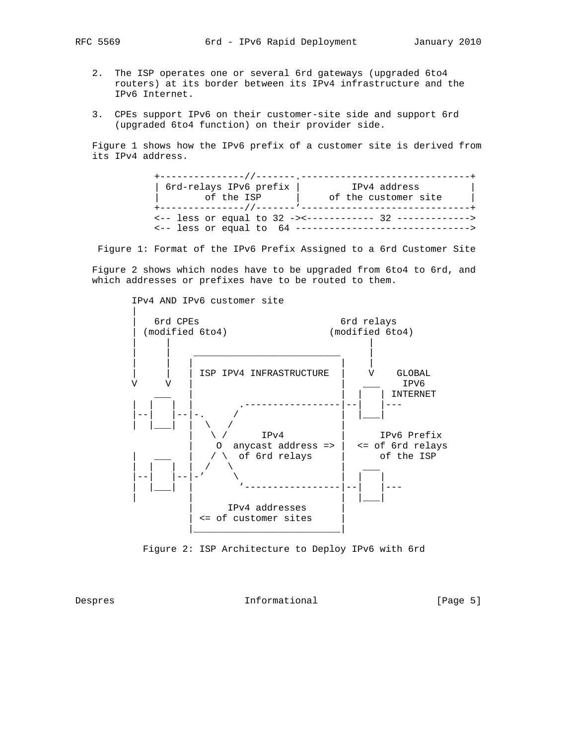- - 2. The ISP operates one or several 6rd gateways (upgraded 6to4 routers) at its border between its IPv4 infrastructure and the IPv6 Internet.
	- 3. CPEs support IPv6 on their customer-site side and support 6rd (upgraded 6to4 function) on their provider side.

 Figure 1 shows how the IPv6 prefix of a customer site is derived from its IPv4 address.

| 6rd-relays IPv6 prefix | IPv4 address                                                                                                                        |
|------------------------|-------------------------------------------------------------------------------------------------------------------------------------|
|                        | of the ISP (a) of the customer site                                                                                                 |
|                        | $\leftarrow -1$ less or equal to 32 -><------------ 32 -------------><br><-- less or equal to 64 ---------------------------------- |

Figure 1: Format of the IPv6 Prefix Assigned to a 6rd Customer Site

 Figure 2 shows which nodes have to be upgraded from 6to4 to 6rd, and which addresses or prefixes have to be routed to them.



Figure 2: ISP Architecture to Deploy IPv6 with 6rd

Despres 1nformational 1996 [Page 5]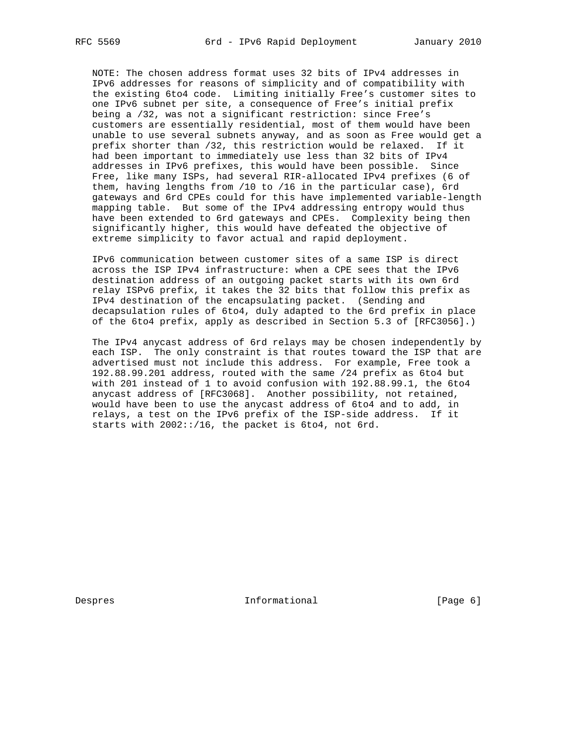NOTE: The chosen address format uses 32 bits of IPv4 addresses in IPv6 addresses for reasons of simplicity and of compatibility with the existing 6to4 code. Limiting initially Free's customer sites to one IPv6 subnet per site, a consequence of Free's initial prefix being a /32, was not a significant restriction: since Free's customers are essentially residential, most of them would have been unable to use several subnets anyway, and as soon as Free would get a prefix shorter than /32, this restriction would be relaxed. If it had been important to immediately use less than 32 bits of IPv4 addresses in IPv6 prefixes, this would have been possible. Since Free, like many ISPs, had several RIR-allocated IPv4 prefixes (6 of them, having lengths from /10 to /16 in the particular case), 6rd gateways and 6rd CPEs could for this have implemented variable-length mapping table. But some of the IPv4 addressing entropy would thus have been extended to 6rd gateways and CPEs. Complexity being then significantly higher, this would have defeated the objective of extreme simplicity to favor actual and rapid deployment.

 IPv6 communication between customer sites of a same ISP is direct across the ISP IPv4 infrastructure: when a CPE sees that the IPv6 destination address of an outgoing packet starts with its own 6rd relay ISPv6 prefix, it takes the 32 bits that follow this prefix as IPv4 destination of the encapsulating packet. (Sending and decapsulation rules of 6to4, duly adapted to the 6rd prefix in place of the 6to4 prefix, apply as described in Section 5.3 of [RFC3056].)

 The IPv4 anycast address of 6rd relays may be chosen independently by each ISP. The only constraint is that routes toward the ISP that are advertised must not include this address. For example, Free took a 192.88.99.201 address, routed with the same /24 prefix as 6to4 but with 201 instead of 1 to avoid confusion with 192.88.99.1, the 6to4 anycast address of [RFC3068]. Another possibility, not retained, would have been to use the anycast address of 6to4 and to add, in relays, a test on the IPv6 prefix of the ISP-side address. If it starts with 2002::/16, the packet is 6to4, not 6rd.

Despres 1nformational [Page 6] newsletch informational contracts in the late of  $[$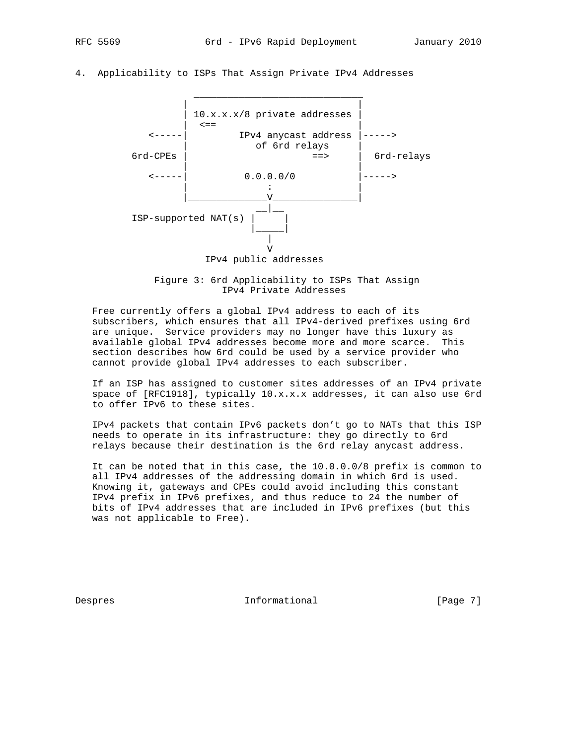4. Applicability to ISPs That Assign Private IPv4 Addresses



 Figure 3: 6rd Applicability to ISPs That Assign IPv4 Private Addresses

 Free currently offers a global IPv4 address to each of its subscribers, which ensures that all IPv4-derived prefixes using 6rd are unique. Service providers may no longer have this luxury as available global IPv4 addresses become more and more scarce. This section describes how 6rd could be used by a service provider who cannot provide global IPv4 addresses to each subscriber.

 If an ISP has assigned to customer sites addresses of an IPv4 private space of [RFC1918], typically 10.x.x.x addresses, it can also use 6rd to offer IPv6 to these sites.

 IPv4 packets that contain IPv6 packets don't go to NATs that this ISP needs to operate in its infrastructure: they go directly to 6rd relays because their destination is the 6rd relay anycast address.

 It can be noted that in this case, the 10.0.0.0/8 prefix is common to all IPv4 addresses of the addressing domain in which 6rd is used. Knowing it, gateways and CPEs could avoid including this constant IPv4 prefix in IPv6 prefixes, and thus reduce to 24 the number of bits of IPv4 addresses that are included in IPv6 prefixes (but this was not applicable to Free).

Despres 1nformational 1999 [Page 7]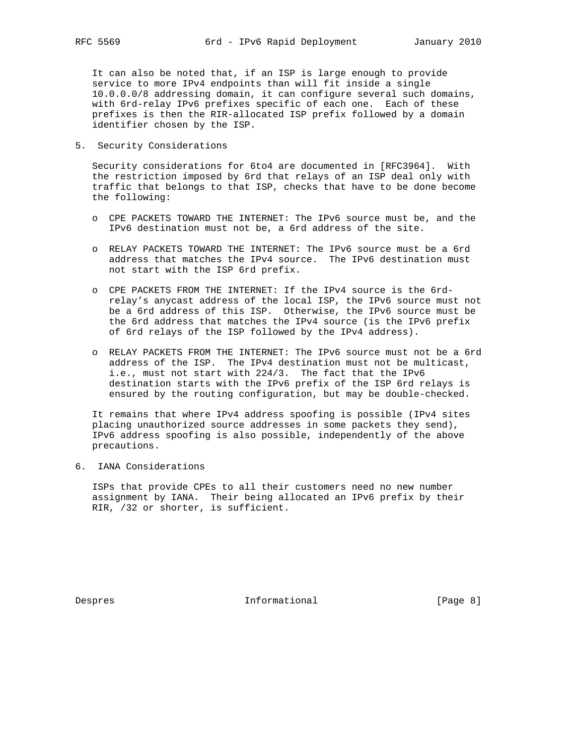It can also be noted that, if an ISP is large enough to provide service to more IPv4 endpoints than will fit inside a single 10.0.0.0/8 addressing domain, it can configure several such domains, with 6rd-relay IPv6 prefixes specific of each one. Each of these prefixes is then the RIR-allocated ISP prefix followed by a domain identifier chosen by the ISP.

5. Security Considerations

 Security considerations for 6to4 are documented in [RFC3964]. With the restriction imposed by 6rd that relays of an ISP deal only with traffic that belongs to that ISP, checks that have to be done become the following:

- o CPE PACKETS TOWARD THE INTERNET: The IPv6 source must be, and the IPv6 destination must not be, a 6rd address of the site.
- o RELAY PACKETS TOWARD THE INTERNET: The IPv6 source must be a 6rd address that matches the IPv4 source. The IPv6 destination must not start with the ISP 6rd prefix.
- o CPE PACKETS FROM THE INTERNET: If the IPv4 source is the 6rd relay's anycast address of the local ISP, the IPv6 source must not be a 6rd address of this ISP. Otherwise, the IPv6 source must be the 6rd address that matches the IPv4 source (is the IPv6 prefix of 6rd relays of the ISP followed by the IPv4 address).
- o RELAY PACKETS FROM THE INTERNET: The IPv6 source must not be a 6rd address of the ISP. The IPv4 destination must not be multicast, i.e., must not start with 224/3. The fact that the IPv6 destination starts with the IPv6 prefix of the ISP 6rd relays is ensured by the routing configuration, but may be double-checked.

 It remains that where IPv4 address spoofing is possible (IPv4 sites placing unauthorized source addresses in some packets they send), IPv6 address spoofing is also possible, independently of the above precautions.

6. IANA Considerations

 ISPs that provide CPEs to all their customers need no new number assignment by IANA. Their being allocated an IPv6 prefix by their RIR, /32 or shorter, is sufficient.

Despres 1nformational [Page 8]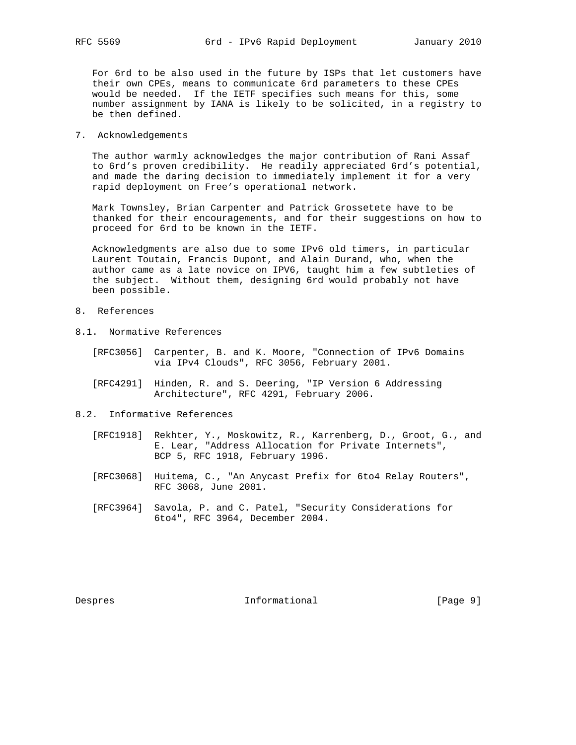For 6rd to be also used in the future by ISPs that let customers have their own CPEs, means to communicate 6rd parameters to these CPEs would be needed. If the IETF specifies such means for this, some number assignment by IANA is likely to be solicited, in a registry to be then defined.

7. Acknowledgements

 The author warmly acknowledges the major contribution of Rani Assaf to 6rd's proven credibility. He readily appreciated 6rd's potential, and made the daring decision to immediately implement it for a very rapid deployment on Free's operational network.

 Mark Townsley, Brian Carpenter and Patrick Grossetete have to be thanked for their encouragements, and for their suggestions on how to proceed for 6rd to be known in the IETF.

 Acknowledgments are also due to some IPv6 old timers, in particular Laurent Toutain, Francis Dupont, and Alain Durand, who, when the author came as a late novice on IPV6, taught him a few subtleties of the subject. Without them, designing 6rd would probably not have been possible.

- 8. References
- 8.1. Normative References
	- [RFC3056] Carpenter, B. and K. Moore, "Connection of IPv6 Domains via IPv4 Clouds", RFC 3056, February 2001.
	- [RFC4291] Hinden, R. and S. Deering, "IP Version 6 Addressing Architecture", RFC 4291, February 2006.
- 8.2. Informative References
	- [RFC1918] Rekhter, Y., Moskowitz, R., Karrenberg, D., Groot, G., and E. Lear, "Address Allocation for Private Internets", BCP 5, RFC 1918, February 1996.
	- [RFC3068] Huitema, C., "An Anycast Prefix for 6to4 Relay Routers", RFC 3068, June 2001.
	- [RFC3964] Savola, P. and C. Patel, "Security Considerations for 6to4", RFC 3964, December 2004.

Despres 1nformational [Page 9]